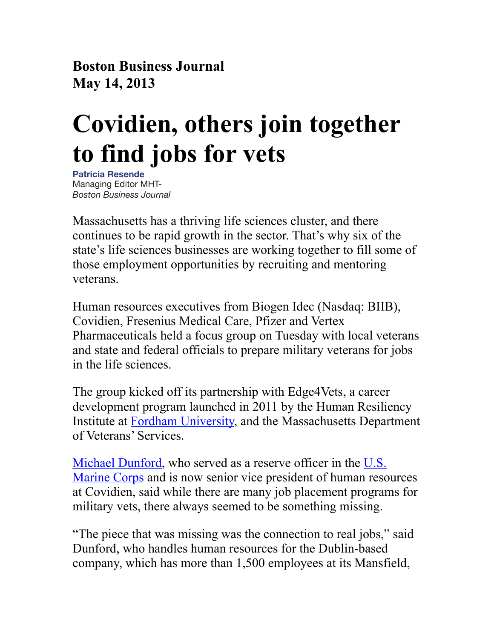**Boston Business Journal May 14, 2013**

## **Covidien, others join together to find jobs for vets**

**[Patricia Resende](http://pubads.g.doubleclick.net/pagead/adview?ai=B2TP9lcSSUev9F861sQftnICQBOHIw9ADAAAAEAEgADgAWIH24KNfYMnusIfco8QQggEXY2EtcHViLTk3MzYwOTI2MDQ2Nzc1MTayARN3d3cuYml6am91cm5hbHMuY29tugEJZ2ZwX2ltYWdlyAEJ2gFiaHR0cDovL3d3dy5iaXpqb3VybmFscy5jb20vYm9zdG9uL2Jsb2cvYmlvZmxhc2gvMjAxMy8wNS9jb3ZpZGllbi1vdGhlcnMtam9pbi10b2dldGhlci10by1maW5kLmh0bWyYArKEAsACAuACAOoCFDQ2MzUvYnpqLmJvc3Rvbi9ibG9n-AL00R6QA-ADmAPgA6gDAeAEAaAGIA&sigh=NJx41Uoqt9c&adurl=http://pagead2.googlesyndication.com/pagead/imgad/2232074/WFGEO1.html?t=10&cT=http%3A//adclick.g.doubleclick.net/aclk%25253Fsa%25253DL%252526ai%25253DB2TP9lcSSUev9F861sQftnICQBOHIw9ADAAAAEAEgADgAWIH24KNfYMnusIfco8QQggEXY2EtcHViLTk3MzYwOTI2MDQ2Nzc1MTayARN3d3cuYml6am91cm5hbHMuY29tugEJZ2ZwX2ltYWdlyAEJ2gFiaHR0cDovL3d3dy5iaXpqb3VybmFscy5jb20vYm9zdG9uL2Jsb2cvYmlvZmxhc2gvMjAxMy8wNS9jb3ZpZGllbi1vdGhlcnMtam9pbi10b2dldGhlci10by1maW5kLmh0bWyYArKEAsACAuACAOoCFDQ2MzUvYnpqLmJvc3Rvbi9ibG9n-AL00R6QA-ADmAPgA6gDAeAEAaAGIA%252526num%25253D0%252526sig%25253DAOD64_0h-NOJhS1jfemKkp2xvpjuF052Gg%252526client%25253Dca-pub-9736092604677516%252526adurl%25253D&l=http%3A//www.bizjournals.com/boston/bio/14451/Patricia+Resende)** Managing Editor MHT-*Boston Business Journal*

Massachusetts has a thriving life sciences cluster, and there continues to be rapid growth in the sector. That's why six of the state's life sciences businesses are working together to fill some of those employment opportunities by recruiting and mentoring veterans.

Human resources executives from Biogen Idec (Nasdaq: BIIB), Covidien, Fresenius Medical Care, Pfizer and Vertex Pharmaceuticals held a focus group on Tuesday with local veterans and state and federal officials to prepare military veterans for jobs in the life sciences.

The group kicked off its partnership with Edge4Vets, a career development program launched in 2011 by the Human Resiliency Institute at [Fordham University](http://www.bizjournals.com/profiles/company/us/ny/new_york/fordham_university/3336219), and the Massachusetts Department of Veterans' Services.

[Michael Dunford,](http://www.bizjournals.com/boston/search/results?q=Michael%20Dunford) who served as a reserve officer in the [U.S.](http://www.bizjournals.com/profiles/company/us/ca/laguna_niguel/us_marine_corps/472088)  [Marine Corps](http://www.bizjournals.com/profiles/company/us/ca/laguna_niguel/us_marine_corps/472088) and is now senior vice president of human resources at Covidien, said while there are many job placement programs for military vets, there always seemed to be something missing.

"The piece that was missing was the connection to real jobs," said Dunford, who handles human resources for the Dublin-based company, which has more than 1,500 employees at its Mansfield,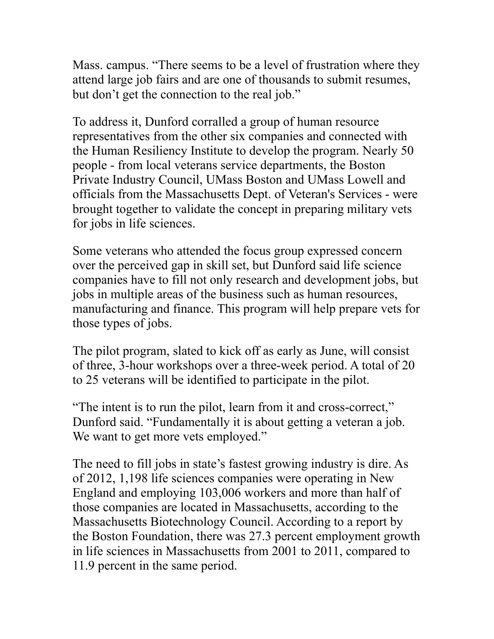Mass. campus. "There seems to be a level of frustration where they attend large job fairs and are one of thousands to submit resumes, but don't get the connection to the real job."

To address it, Dunford corralled a group of human resource representatives from the other six companies and connected with the Human Resiliency Institute to develop the program. Nearly 50 people - from local veterans service departments, the Boston Private Industry Council, UMass Boston and UMass Lowell and officials from the Massachusetts Dept. of Veteran's Services - were brought together to validate the concept in preparing military vets for jobs in life sciences.

Some veterans who attended the focus group expressed concern over the perceived gap in skill set, but Dunford said life science companies have to fill not only research and development jobs, but jobs in multiple areas of the business such as human resources, manufacturing and finance. This program will help prepare vets for those types of jobs.

The pilot program, slated to kick off as early as June, will consist of three, 3-hour workshops over a three-week period. A total of 20 to 25 veterans will be identified to participate in the pilot.

"The intent is to run the pilot, learn from it and cross-correct," Dunford said. "Fundamentally it is about getting a veteran a job. We want to get more vets employed."

The need to fill jobs in state's fastest growing industry is dire. As of 2012, 1,198 life sciences companies were operating in New England and employing 103,006 workers and more than half of those companies are located in Massachusetts, according to the Massachusetts Biotechnology Council. According to a report by the Boston Foundation, there was 27.3 percent employment growth in life sciences in Massachusetts from 2001 to 2011, compared to 11.9 percent in the same period.